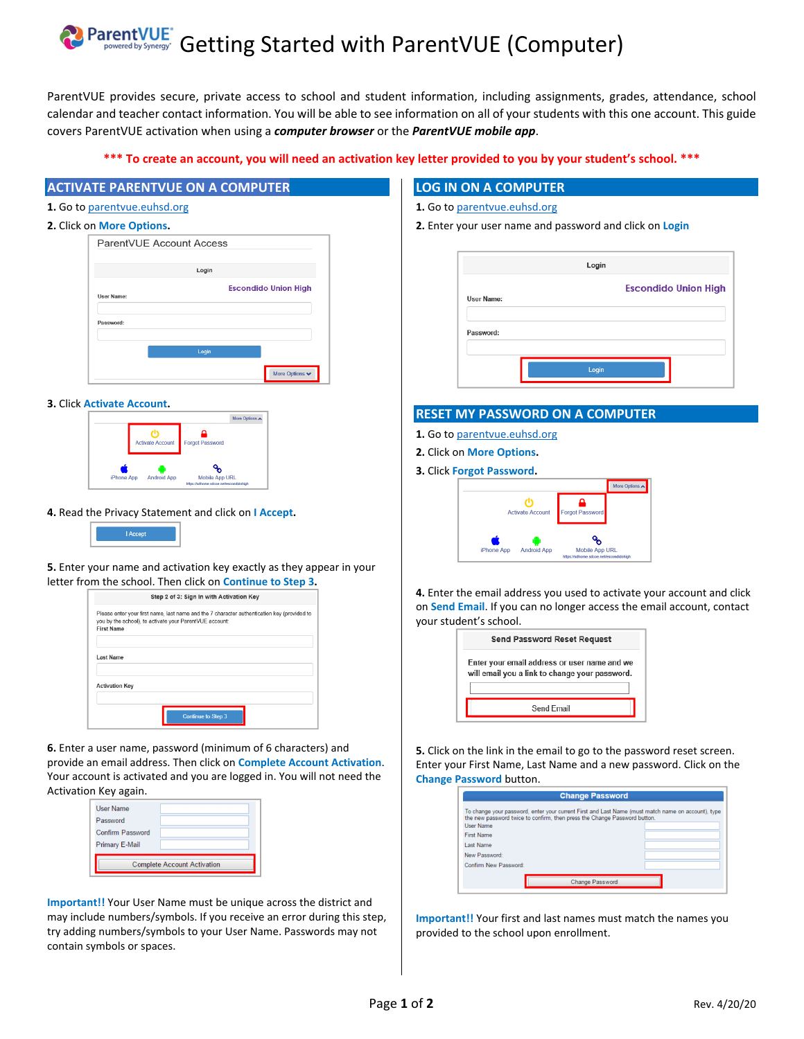# ParentVUE<sup>T</sup> Getting Started with ParentVUE (Computer)

ParentVUE provides secure, private access to school and student information, including assignments, grades, attendance, school calendar and teacher contact information. You will be able to see information on all of your students with this one account. This guide covers ParentVUE activation when using a *computer browser* or the *ParentVUE mobile app*.

## **\*\*\* To create an account, you will need an activation key letter provided to you by your student's school. \*\*\***

# **ACTIVATE PARENTVUE ON A COMPUTER**

**1.** Go to parentvue.euhsd.org

| 2. Click on More Options. |  |  |
|---------------------------|--|--|
|---------------------------|--|--|

| .                        |                             |
|--------------------------|-----------------------------|
| ParentVUE Account Access |                             |
|                          |                             |
| Login                    |                             |
|                          | <b>Escondido Union High</b> |
| User Name:               |                             |
|                          |                             |
| Password:                |                             |
|                          |                             |
| Login                    |                             |
|                          |                             |
|                          | More Options v              |

#### **3.** Click **Activate Account.**



#### **4.** Read the Privacy Statement and click on **I Accept.**

| I Accept |  |
|----------|--|
|          |  |

#### **5.** Enter your name and activation key exactly as they appear in your letter from the school. Then click on **Continue to Step 3.**

|                                                                              | Step 2 of 3: Sign In with Activation Key                                                    |
|------------------------------------------------------------------------------|---------------------------------------------------------------------------------------------|
| you by the school), to activate your ParentVUE account:<br><b>First Name</b> | Please enter your first name, last name and the 7 character authentication key (provided to |
| Last Name                                                                    |                                                                                             |
| <b>Activation Kev</b>                                                        |                                                                                             |
|                                                                              | <b>Continue to Step 3</b>                                                                   |

**6.** Enter a user name, password (minimum of 6 characters) and provide an email address. Then click on **Complete Account Activation**. Your account is activated and you are logged in. You will not need the Activation Key again.

| <b>User Name</b>        |                                    |
|-------------------------|------------------------------------|
| Password                |                                    |
| <b>Confirm Password</b> |                                    |
| Primary E-Mail          |                                    |
|                         | <b>Complete Account Activation</b> |

**Important!!** Your User Name must be unique across the district and may include numbers/symbols. If you receive an error during this step, try adding numbers/symbols to your User Name. Passwords may not contain symbols or spaces.

## **LOG IN ON A COMPUTER**

#### **1.** Go to parentvue.euhsd.org

**2.** Enter your user name and password and click on **Login** 

|                   | Login                       |  |
|-------------------|-----------------------------|--|
| <b>User Name:</b> | <b>Escondido Union High</b> |  |
| Password:         |                             |  |
|                   | Login                       |  |

#### **RESET MY PASSWORD ON A COMPUTER**

- **1.** Go to parentvue.euhsd.org
- **2.** Click on **More Options.**
- **3.** Click **Forgot Password.**



**4.** Enter the email address you used to activate your account and click on **Send Email**. If you can no longer access the email account, contact your student's school.

| <b>Send Password Reset Request</b>                                                             |
|------------------------------------------------------------------------------------------------|
| Enter your email address or user name and we<br>will email you a link to change your password. |
| Send Email                                                                                     |

**5.** Click on the link in the email to go to the password reset screen. Enter your First Name, Last Name and a new password. Click on the **Change Password** button.

| <b>Change Password</b>                                                                                                                                                                              |  |
|-----------------------------------------------------------------------------------------------------------------------------------------------------------------------------------------------------|--|
| To change your password, enter your current First and Last Name (must match name on account), type<br>the new password twice to confirm, then press the Change Password button.<br><b>User Name</b> |  |
| First Name                                                                                                                                                                                          |  |
| Last Name                                                                                                                                                                                           |  |
| New Password:                                                                                                                                                                                       |  |
| Confirm New Password:                                                                                                                                                                               |  |
| <b>Change Password</b>                                                                                                                                                                              |  |

**Important!!** Your first and last names must match the names you provided to the school upon enrollment.